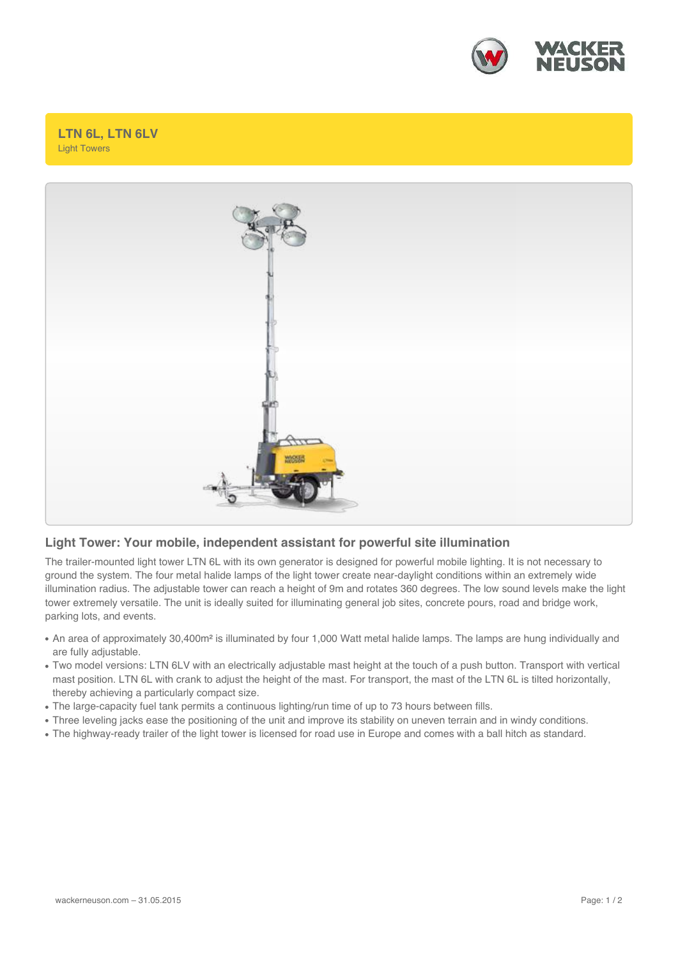

**LTN 6L, LTN 6LV** Light Towers



## **Light Tower: Your mobile, independent assistant for powerful site illumination**

The trailer-mounted light tower LTN 6L with its own generator is designed for powerful mobile lighting. It is not necessary to ground the system. The four metal halide lamps of the light tower create near-daylight conditions within an extremely wide illumination radius. The adjustable tower can reach a height of 9m and rotates 360 degrees. The low sound levels make the light tower extremely versatile. The unit is ideally suited for illuminating general job sites, concrete pours, road and bridge work, parking lots, and events.

- An area of approximately 30,400m<sup>2</sup> is illuminated by four 1,000 Watt metal halide lamps. The lamps are hung individually and are fully adjustable.
- Two model versions: LTN 6LV with an electrically adjustable mast height at the touch of a push button. Transport with vertical mast position. LTN 6L with crank to adjust the height of the mast. For transport, the mast of the LTN 6L is tilted horizontally, thereby achieving a particularly compact size.
- The large-capacity fuel tank permits a continuous lighting/run time of up to 73 hours between fills.
- Three leveling jacks ease the positioning of the unit and improve its stability on uneven terrain and in windy conditions.
- The highway-ready trailer of the light tower is licensed for road use in Europe and comes with a ball hitch as standard.